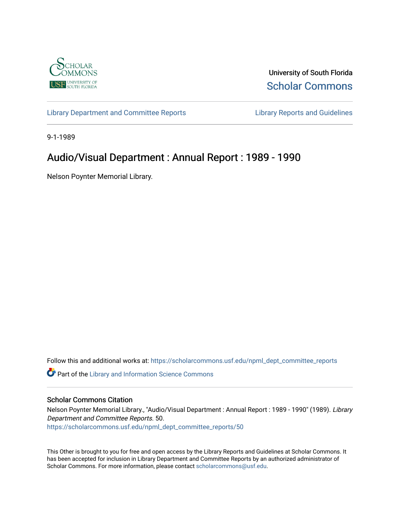

University of South Florida [Scholar Commons](https://scholarcommons.usf.edu/) 

[Library Department and Committee Reports](https://scholarcommons.usf.edu/npml_dept_committee_reports) [Library Reports and Guidelines](https://scholarcommons.usf.edu/npml_reports_guidelines_instruct_materials) 

9-1-1989

# Audio/Visual Department : Annual Report : 1989 - 1990

Nelson Poynter Memorial Library.

Follow this and additional works at: [https://scholarcommons.usf.edu/npml\\_dept\\_committee\\_reports](https://scholarcommons.usf.edu/npml_dept_committee_reports?utm_source=scholarcommons.usf.edu%2Fnpml_dept_committee_reports%2F50&utm_medium=PDF&utm_campaign=PDFCoverPages)

Part of the [Library and Information Science Commons](http://network.bepress.com/hgg/discipline/1018?utm_source=scholarcommons.usf.edu%2Fnpml_dept_committee_reports%2F50&utm_medium=PDF&utm_campaign=PDFCoverPages) 

#### Scholar Commons Citation

Nelson Poynter Memorial Library., "Audio/Visual Department : Annual Report : 1989 - 1990" (1989). Library Department and Committee Reports. 50. [https://scholarcommons.usf.edu/npml\\_dept\\_committee\\_reports/50](https://scholarcommons.usf.edu/npml_dept_committee_reports/50?utm_source=scholarcommons.usf.edu%2Fnpml_dept_committee_reports%2F50&utm_medium=PDF&utm_campaign=PDFCoverPages) 

This Other is brought to you for free and open access by the Library Reports and Guidelines at Scholar Commons. It has been accepted for inclusion in Library Department and Committee Reports by an authorized administrator of Scholar Commons. For more information, please contact [scholarcommons@usf.edu](mailto:scholarcommons@usf.edu).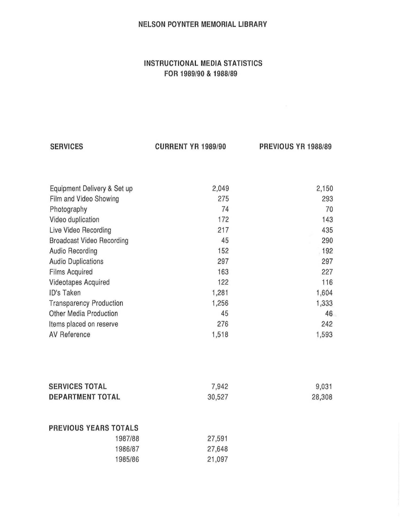#### NELSON POYNTER MEMORIAL LIBRARY

### INSTRUCTIONAL MEDIA STATISTICS FOR 1989/90 & 1988/89

**SERVICES** 

CURRENT YR 1989/90 PREVIOUS YR 1988/89

| Equipment Delivery & Set up      | 2,049 | 2,150 |
|----------------------------------|-------|-------|
| Film and Video Showing           | 275   | 293   |
| Photography                      | 74    | 70    |
| Video duplication                | 172   | 143   |
| Live Video Recording             | 217   | 435   |
| <b>Broadcast Video Recording</b> | 45    | 290   |
| <b>Audio Recording</b>           | 152   | 192   |
| <b>Audio Duplications</b>        | 297   | 297   |
| <b>Films Acquired</b>            | 163   | 227   |
| <b>Videotapes Acquired</b>       | 122   | 116   |
| ID's Taken                       | 1,281 | 1,604 |
| <b>Transparency Production</b>   | 1,256 | 1,333 |
| <b>Other Media Production</b>    | 45    | 46    |
| Items placed on reserve          | 276   | 242   |
| AV Reference                     | 1,518 | 1,593 |
|                                  |       |       |
|                                  |       |       |
|                                  |       |       |
|                                  |       |       |

| <b>SERVICES TOTAL</b>        | 7,942                                | 9,031  |
|------------------------------|--------------------------------------|--------|
| <b>DEPARTMENT TOTAL</b>      | 30,527                               | 28,308 |
|                              |                                      |        |
|                              |                                      |        |
| <b>PREVIOUS YEARS TOTALS</b> |                                      |        |
|                              | A DISPONSIBILITY OF CHRISTIAN CHARGE |        |

| 27,591 |
|--------|
| 27,648 |
| 21,097 |
|        |